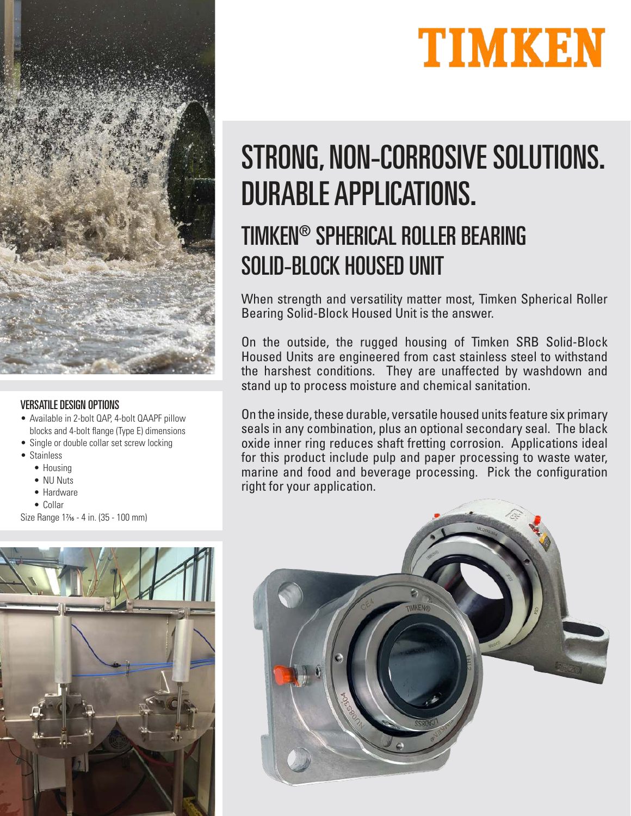



## TIMKEN® SPHERICAL ROLLER BEARING SOLID-BLOCK HOUSED UNIT

When strength and versatility matter most, Timken Spherical Roller Bearing Solid-Block Housed Unit is the answer.

On the outside, the rugged housing of Timken SRB Solid-Block Housed Units are engineered from cast stainless steel to withstand the harshest conditions. They are unaffected by washdown and stand up to process moisture and chemical sanitation.

On the inside, these durable, versatile housed units feature six primary seals in any combination, plus an optional secondary seal. The black oxide inner ring reduces shaft fretting corrosion. Applications ideal for this product include pulp and paper processing to waste water, marine and food and beverage processing. Pick the configuration right for your application.





## VERSATILE DESIGN OPTIONS

- Available in 2-bolt QAP, 4-bolt QAAPF pillow blocks and 4-bolt flange (Type E) dimensions
- Single or double collar set screw locking
- Stainless
	- Housing
	- NU Nuts
	- Hardware
	- Collar

Size Range 1\% - 4 in. (35 - 100 mm)